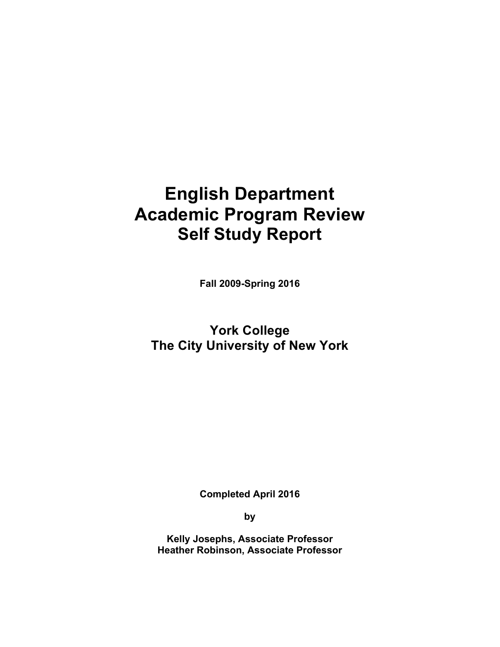# **Academic Program Review English Department Self Study Report**

 **Fall 2009-Spring 2016** 

 **The City University of New York York College** 

 **Completed April 2016** 

**by** 

 **Kelly Josephs, Associate Professor Heather Robinson, Associate Professor**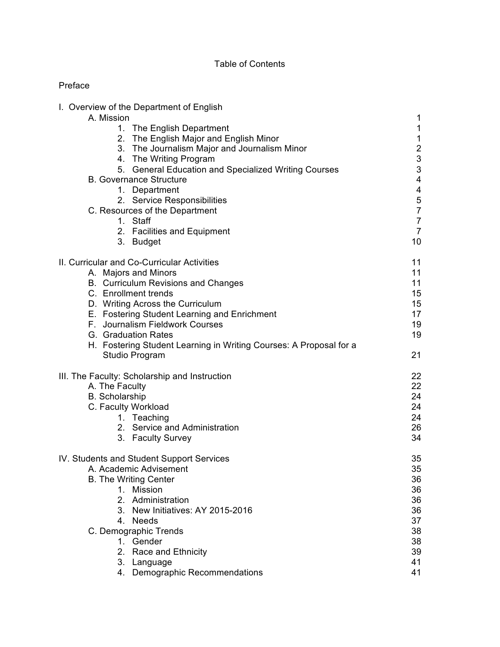# Table of Contents

# Preface

| I. Overview of the Department of English                           |                 |
|--------------------------------------------------------------------|-----------------|
| A. Mission                                                         | 1               |
| 1. The English Department                                          | $\mathbf 1$     |
| 2. The English Major and English Minor                             | $\mathbf{1}$    |
| 3. The Journalism Major and Journalism Minor                       | $\overline{2}$  |
| 4. The Writing Program                                             |                 |
| 5. General Education and Specialized Writing Courses               | $\frac{3}{3}$   |
| <b>B. Governance Structure</b>                                     | 4               |
| 1. Department                                                      | 4               |
| 2. Service Responsibilities                                        | $\mathbf 5$     |
| C. Resources of the Department                                     | $\overline{7}$  |
| 1. Staff                                                           | $\overline{7}$  |
| 2. Facilities and Equipment                                        | $\overline{7}$  |
| 3. Budget                                                          | 10              |
|                                                                    |                 |
| II. Curricular and Co-Curricular Activities                        | 11              |
| A. Majors and Minors                                               | 11              |
| B. Curriculum Revisions and Changes                                | 11              |
| C. Enrollment trends                                               | 15              |
| D. Writing Across the Curriculum                                   | 15              |
| E. Fostering Student Learning and Enrichment                       | 17 <sub>2</sub> |
| F. Journalism Fieldwork Courses                                    | 19              |
| G. Graduation Rates                                                | 19              |
| H. Fostering Student Learning in Writing Courses: A Proposal for a |                 |
| Studio Program                                                     | 21              |
|                                                                    |                 |
| III. The Faculty: Scholarship and Instruction                      | 22              |
| A. The Faculty                                                     | 22              |
| <b>B.</b> Scholarship                                              | 24              |
| C. Faculty Workload                                                | 24              |
| 1. Teaching                                                        | 24              |
| 2. Service and Administration                                      | 26              |
| 3. Faculty Survey                                                  | 34              |
|                                                                    |                 |
| IV. Students and Student Support Services                          | 35              |
| A. Academic Advisement                                             | 35              |
| <b>B. The Writing Center</b>                                       | 36              |
| 1. Mission                                                         | 36              |
| 2. Administration                                                  | 36              |
| 3. New Initiatives: AY 2015-2016                                   | 36              |
| 4. Needs                                                           | 37              |
| C. Demographic Trends                                              | 38              |
| 1. Gender                                                          | 38              |
| 2. Race and Ethnicity                                              | 39              |
| 3. Language                                                        | 41              |
| 4. Demographic Recommendations                                     | 41              |
|                                                                    |                 |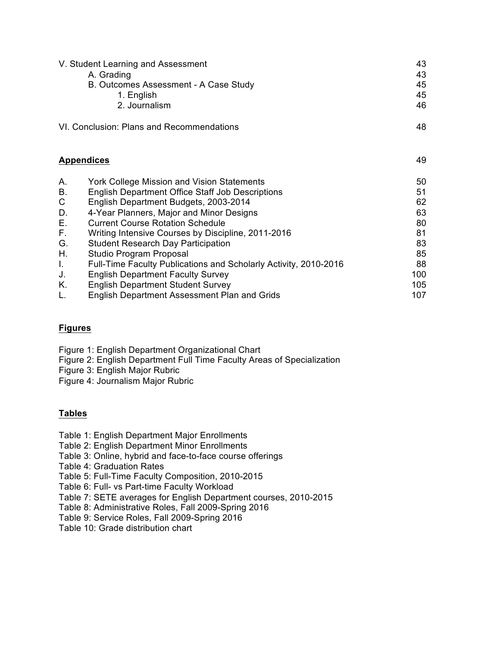| V. Student Learning and Assessment        | 43 |
|-------------------------------------------|----|
| A. Grading                                | 43 |
| B. Outcomes Assessment - A Case Study     | 45 |
| 1. English                                | 45 |
| 2. Journalism                             | 46 |
| VI. Conclusion: Plans and Recommendations |    |

| <b>Appendices</b> |  |
|-------------------|--|
|-------------------|--|

| А.        | <b>York College Mission and Vision Statements</b>                | 50  |
|-----------|------------------------------------------------------------------|-----|
| <b>B.</b> | <b>English Department Office Staff Job Descriptions</b>          | 51  |
| C         | English Department Budgets, 2003-2014                            | 62  |
| D.        | 4-Year Planners, Major and Minor Designs                         | 63  |
| Е.        | <b>Current Course Rotation Schedule</b>                          | 80  |
| F.        | Writing Intensive Courses by Discipline, 2011-2016               | 81  |
| G.        | <b>Student Research Day Participation</b>                        | 83  |
| Η.        | Studio Program Proposal                                          | 85  |
| L.        | Full-Time Faculty Publications and Scholarly Activity, 2010-2016 | 88  |
| J.        | <b>English Department Faculty Survey</b>                         | 100 |
| Κ.        | <b>English Department Student Survey</b>                         | 105 |
| L.        | <b>English Department Assessment Plan and Grids</b>              | 107 |
|           |                                                                  |     |

# **Figures**

Figure 1: English Department Organizational Chart

Figure 2: English Department Full Time Faculty Areas of Specialization

Figure 3: English Major Rubric

Figure 4: Journalism Major Rubric

# **Tables**

- Table 1: English Department Major Enrollments
- Table 2: English Department Minor Enrollments
- Table 3: Online, hybrid and face-to-face course offerings
- Table 4: Graduation Rates
- Table 5: Full-Time Faculty Composition, 2010-2015
- Table 6: Full- vs Part-time Faculty Workload
- Table 7: SETE averages for English Department courses, 2010-2015
- Table 8: Administrative Roles, Fall 2009-Spring 2016
- Table 9: Service Roles, Fall 2009-Spring 2016
- Table 10: Grade distribution chart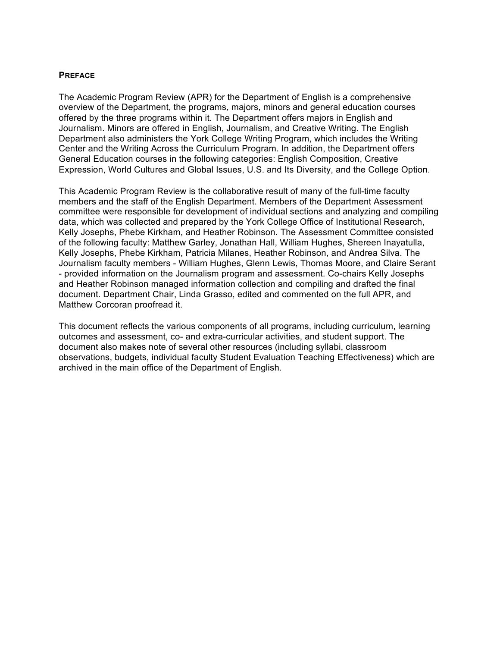#### **PREFACE**

 The Academic Program Review (APR) for the Department of English is a comprehensive overview of the Department, the programs, majors, minors and general education courses Journalism. Minors are offered in English, Journalism, and Creative Writing. The English Department also administers the York College Writing Program, which includes the Writing Center and the Writing Across the Curriculum Program. In addition, the Department offers General Education courses in the following categories: English Composition, Creative Expression, World Cultures and Global Issues, U.S. and Its Diversity, and the College Option. offered by the three programs within it. The Department offers majors in English and

 This Academic Program Review is the collaborative result of many of the full-time faculty members and the staff of the English Department. Members of the Department Assessment committee were responsible for development of individual sections and analyzing and compiling data, which was collected and prepared by the York College Office of Institutional Research, Kelly Josephs, Phebe Kirkham, and Heather Robinson. The Assessment Committee consisted of the following faculty: Matthew Garley, Jonathan Hall, William Hughes, Shereen Inayatulla, Kelly Josephs, Phebe Kirkham, Patricia Milanes, Heather Robinson, and Andrea Silva. The Journalism faculty members - William Hughes, Glenn Lewis, Thomas Moore, and Claire Serant - provided information on the Journalism program and assessment. Co-chairs Kelly Josephs document. Department Chair, Linda Grasso, edited and commented on the full APR, and Matthew Corcoran proofread it. and Heather Robinson managed information collection and compiling and drafted the final

 This document reflects the various components of all programs, including curriculum, learning outcomes and assessment, co- and extra-curricular activities, and student support. The document also makes note of several other resources (including syllabi, classroom observations, budgets, individual faculty Student Evaluation Teaching Effectiveness) which are archived in the main office of the Department of English.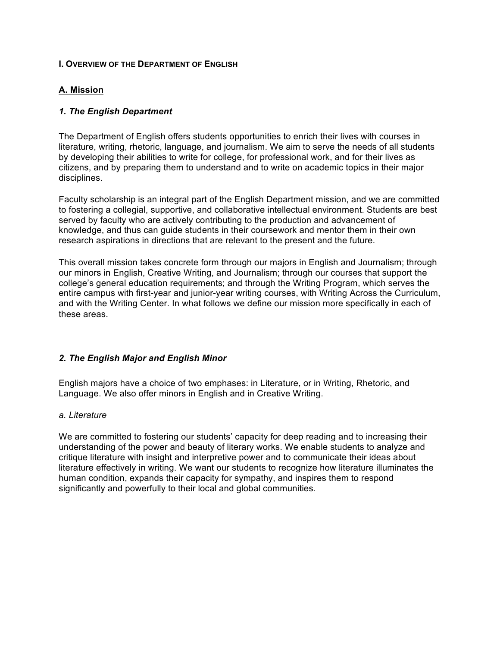#### **I. OVERVIEW OF THE DEPARTMENT OF ENGLISH**

## **A. Mission**

## *1. The English Department*

 The Department of English offers students opportunities to enrich their lives with courses in literature, writing, rhetoric, language, and journalism. We aim to serve the needs of all students by developing their abilities to write for college, for professional work, and for their lives as citizens, and by preparing them to understand and to write on academic topics in their major disciplines.

 Faculty scholarship is an integral part of the English Department mission, and we are committed to fostering a collegial, supportive, and collaborative intellectual environment. Students are best served by faculty who are actively contributing to the production and advancement of knowledge, and thus can guide students in their coursework and mentor them in their own research aspirations in directions that are relevant to the present and the future.

 This overall mission takes concrete form through our majors in English and Journalism; through our minors in English, Creative Writing, and Journalism; through our courses that support the college's general education requirements; and through the Writing Program, which serves the entire campus with first-year and junior-year writing courses, with Writing Across the Curriculum, and with the Writing Center. In what follows we define our mission more specifically in each of these areas.

## *2. The English Major and English Minor*

 English majors have a choice of two emphases: in Literature, or in Writing, Rhetoric, and Language. We also offer minors in English and in Creative Writing.

#### *a. Literature*

 We are committed to fostering our students' capacity for deep reading and to increasing their understanding of the power and beauty of literary works. We enable students to analyze and critique literature with insight and interpretive power and to communicate their ideas about literature effectively in writing. We want our students to recognize how literature illuminates the human condition, expands their capacity for sympathy, and inspires them to respond significantly and powerfully to their local and global communities.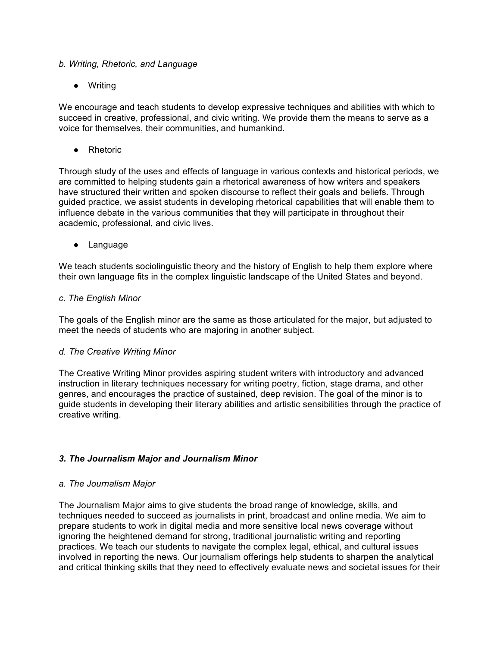#### *b. Writing, Rhetoric, and Language*

● Writing

 We encourage and teach students to develop expressive techniques and abilities with which to succeed in creative, professional, and civic writing. We provide them the means to serve as a voice for themselves, their communities, and humankind.

● Rhetoric

 Through study of the uses and effects of language in various contexts and historical periods, we are committed to helping students gain a rhetorical awareness of how writers and speakers have structured their written and spoken discourse to reflect their goals and beliefs. Through guided practice, we assist students in developing rhetorical capabilities that will enable them to influence debate in the various communities that they will participate in throughout their academic, professional, and civic lives.

● Language

 We teach students sociolinguistic theory and the history of English to help them explore where their own language fits in the complex linguistic landscape of the United States and beyond.

#### *c. The English Minor*

 The goals of the English minor are the same as those articulated for the major, but adjusted to meet the needs of students who are majoring in another subject.

## *d. The Creative Writing Minor*

 The Creative Writing Minor provides aspiring student writers with introductory and advanced instruction in literary techniques necessary for writing poetry, fiction, stage drama, and other genres, and encourages the practice of sustained, deep revision. The goal of the minor is to guide students in developing their literary abilities and artistic sensibilities through the practice of creative writing.

## *3. The Journalism Major and Journalism Minor*

#### *a. The Journalism Major*

 The Journalism Major aims to give students the broad range of knowledge, skills, and prepare students to work in digital media and more sensitive local news coverage without ignoring the heightened demand for strong, traditional journalistic writing and reporting practices. We teach our students to navigate the complex legal, ethical, and cultural issues involved in reporting the news. Our journalism offerings help students to sharpen the analytical and critical thinking skills that they need to effectively evaluate news and societal issues for their techniques needed to succeed as journalists in print, broadcast and online media. We aim to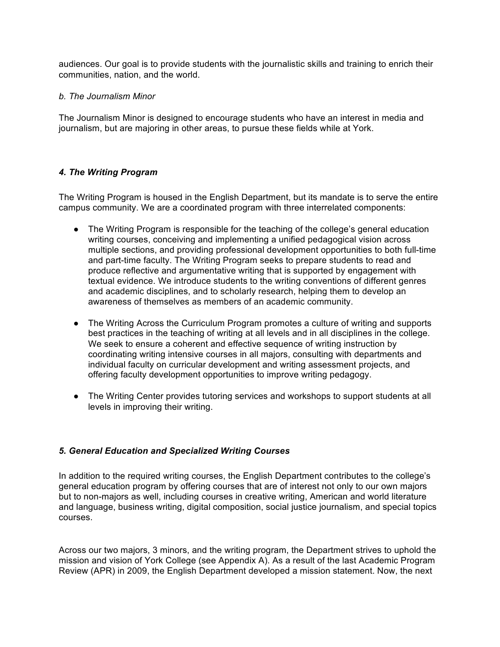audiences. Our goal is to provide students with the journalistic skills and training to enrich their communities, nation, and the world.

#### *b. The Journalism Minor*

 The Journalism Minor is designed to encourage students who have an interest in media and journalism, but are majoring in other areas, to pursue these fields while at York.

## *4. The Writing Program*

 The Writing Program is housed in the English Department, but its mandate is to serve the entire campus community. We are a coordinated program with three interrelated components:

- ● The Writing Program is responsible for the teaching of the college's general education writing courses, conceiving and implementing a unified pedagogical vision across multiple sections, and providing professional development opportunities to both full-time produce reflective and argumentative writing that is supported by engagement with and academic disciplines, and to scholarly research, helping them to develop an awareness of themselves as members of an academic community. and part-time faculty. The Writing Program seeks to prepare students to read and textual evidence. We introduce students to the writing conventions of different genres
- best practices in the teaching of writing at all levels and in all disciplines in the college. We seek to ensure a coherent and effective sequence of writing instruction by coordinating writing intensive courses in all majors, consulting with departments and individual faculty on curricular development and writing assessment projects, and • The Writing Across the Curriculum Program promotes a culture of writing and supports offering faculty development opportunities to improve writing pedagogy.
- ● The Writing Center provides tutoring services and workshops to support students at all levels in improving their writing.

## *5. General Education and Specialized Writing Courses*

 general education program by offering courses that are of interest not only to our own majors but to non-majors as well, including courses in creative writing, American and world literature and language, business writing, digital composition, social justice journalism, and special topics In addition to the required writing courses, the English Department contributes to the college's courses.

 Across our two majors, 3 minors, and the writing program, the Department strives to uphold the mission and vision of York College (see Appendix A). As a result of the last Academic Program Review (APR) in 2009, the English Department developed a mission statement. Now, the next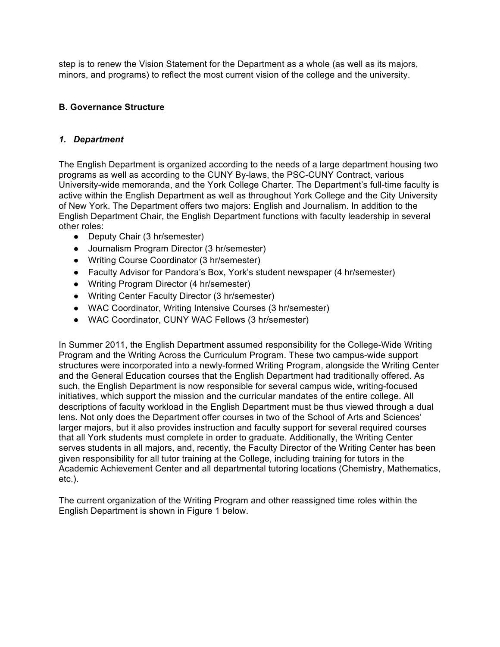step is to renew the Vision Statement for the Department as a whole (as well as its majors, minors, and programs) to reflect the most current vision of the college and the university.

# **B. Governance Structure**

#### *1. Department*

 The English Department is organized according to the needs of a large department housing two programs as well as according to the CUNY By-laws, the PSC-CUNY Contract, various University-wide memoranda, and the York College Charter. The Department's full-time faculty is active within the English Department as well as throughout York College and the City University of New York. The Department offers two majors: English and Journalism. In addition to the English Department Chair, the English Department functions with faculty leadership in several other roles:

- Deputy Chair (3 hr/semester)
- Journalism Program Director (3 hr/semester)
- Writing Course Coordinator (3 hr/semester)
- Faculty Advisor for Pandora's Box, York's student newspaper (4 hr/semester)
- Writing Program Director (4 hr/semester)
- Writing Center Faculty Director (3 hr/semester)
- WAC Coordinator, Writing Intensive Courses (3 hr/semester)
- WAC Coordinator, CUNY WAC Fellows (3 hr/semester)

 In Summer 2011, the English Department assumed responsibility for the College-Wide Writing Program and the Writing Across the Curriculum Program. These two campus-wide support structures were incorporated into a newly-formed Writing Program, alongside the Writing Center and the General Education courses that the English Department had traditionally offered. As such, the English Department is now responsible for several campus wide, writing-focused initiatives, which support the mission and the curricular mandates of the entire college. All descriptions of faculty workload in the English Department must be thus viewed through a dual lens. Not only does the Department offer courses in two of the School of Arts and Sciences' larger majors, but it also provides instruction and faculty support for several required courses serves students in all majors, and, recently, the Faculty Director of the Writing Center has been given responsibility for all tutor training at the College, including training for tutors in the Academic Achievement Center and all departmental tutoring locations (Chemistry, Mathematics, that all York students must complete in order to graduate. Additionally, the Writing Center etc.).

 The current organization of the Writing Program and other reassigned time roles within the English Department is shown in Figure 1 below.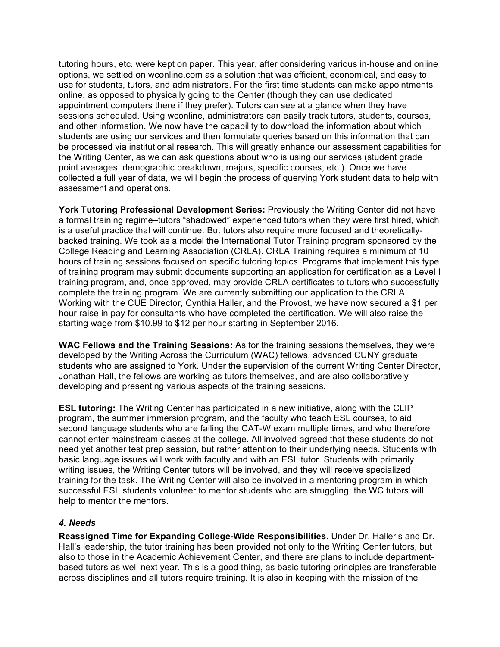use for students, tutors, and administrators. For the first time students can make appointments online, as opposed to physically going to the Center (though they can use dedicated appointment computers there if they prefer). Tutors can see at a glance when they have sessions scheduled. Using wconline, administrators can easily track tutors, students, courses, students are using our services and then formulate queries based on this information that can be processed via institutional research. This will greatly enhance our assessment capabilities for point averages, demographic breakdown, majors, specific courses, etc.). Once we have collected a full year of data, we will begin the process of querying York student data to help with tutoring hours, etc. were kept on paper. This year, after considering various in-house and online options, we settled on [wconline.com](https://wconline.com) as a solution that was efficient, economical, and easy to and other information. We now have the capability to download the information about which the Writing Center, as we can ask questions about who is using our services (student grade assessment and operations.

 **York Tutoring Professional Development Series:** Previously the Writing Center did not have is a useful practice that will continue. But tutors also require more focused and theoretically- backed training. We took as a model the International Tutor Training program sponsored by the College Reading and Learning Association (CRLA). CRLA Training requires a minimum of 10 hours of training sessions focused on specific tutoring topics. Programs that implement this type of training program may submit documents supporting an application for certification as a Level I training program, and, once approved, may provide CRLA certificates to tutors who successfully complete the training program. We are currently submitting our application to the CRLA. Working with the CUE Director, Cynthia Haller, and the Provost, we have now secured a \$1 per hour raise in pay for consultants who have completed the certification. We will also raise the starting wage from \$10.99 to \$12 per hour starting in September 2016. a formal training regime–tutors "shadowed" experienced tutors when they were first hired, which

 **WAC Fellows and the Training Sessions:** As for the training sessions themselves, they were developed by the Writing Across the Curriculum (WAC) fellows, advanced CUNY graduate students who are assigned to York. Under the supervision of the current Writing Center Director, Jonathan Hall, the fellows are working as tutors themselves, and are also collaboratively developing and presenting various aspects of the training sessions.

 **ESL tutoring:** The Writing Center has participated in a new initiative, along with the CLIP second language students who are failing the CAT-W exam multiple times, and who therefore cannot enter mainstream classes at the college. All involved agreed that these students do not need yet another test prep session, but rather attention to their underlying needs. Students with basic language issues will work with faculty and with an ESL tutor. Students with primarily writing issues, the Writing Center tutors will be involved, and they will receive specialized successful ESL students volunteer to mentor students who are struggling; the WC tutors will program, the summer immersion program, and the faculty who teach ESL courses, to aid training for the task. The Writing Center will also be involved in a mentoring program in which help to mentor the mentors.

## *4. Needs*

 **Reassigned Time for Expanding College-Wide Responsibilities.** Under Dr. Haller's and Dr. Hall's leadership, the tutor training has been provided not only to the Writing Center tutors, but also to those in the Academic Achievement Center, and there are plans to include department- based tutors as well next year. This is a good thing, as basic tutoring principles are transferable across disciplines and all tutors require training. It is also in keeping with the mission of the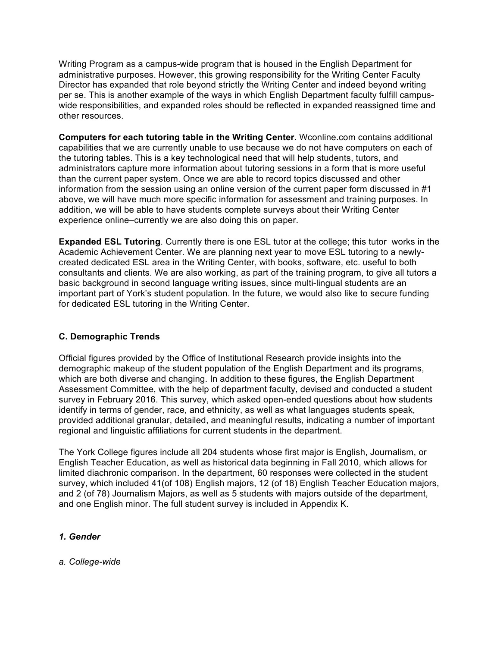Writing Program as a campus-wide program that is housed in the English Department for administrative purposes. However, this growing responsibility for the Writing Center Faculty Director has expanded that role beyond strictly the Writing Center and indeed beyond writing per se. This is another example of the ways in which English Department faculty fulfill campus- wide responsibilities, and expanded roles should be reflected in expanded reassigned time and other resources.

 **Computers for each tutoring table in the Writing Center.** [Wconline.com](https://Wconline.com) contains additional capabilities that we are currently unable to use because we do not have computers on each of administrators capture more information about tutoring sessions in a form that is more useful information from the session using an online version of the current paper form discussed in #1 above, we will have much more specific information for assessment and training purposes. In addition, we will be able to have students complete surveys about their Writing Center experience online–currently we are also doing this on paper. the tutoring tables. This is a key technological need that will help students, tutors, and than the current paper system. Once we are able to record topics discussed and other

**Expanded ESL Tutoring**. Currently there is one ESL tutor at the college; this tutor works in the Academic Achievement Center. We are planning next year to move ESL tutoring to a newly- created dedicated ESL area in the Writing Center, with books, software, etc. useful to both consultants and clients. We are also working, as part of the training program, to give all tutors a important part of York's student population. In the future, we would also like to secure funding basic background in second language writing issues, since multi-lingual students are an for dedicated ESL tutoring in the Writing Center.

# **C. Demographic Trends**

 Official figures provided by the Office of Institutional Research provide insights into the demographic makeup of the student population of the English Department and its programs, which are both diverse and changing. In addition to these figures, the English Department Assessment Committee, with the help of department faculty, devised and conducted a student survey in February 2016. This survey, which asked open-ended questions about how students identify in terms of gender, race, and ethnicity, as well as what languages students speak, provided additional granular, detailed, and meaningful results, indicating a number of important regional and linguistic affiliations for current students in the department.

 The York College figures include all 204 students whose first major is English, Journalism, or English Teacher Education, as well as historical data beginning in Fall 2010, which allows for limited diachronic comparison. In the department, 60 responses were collected in the student survey, which included 41(of 108) English majors, 12 (of 18) English Teacher Education majors, and 2 (of 78) Journalism Majors, as well as 5 students with majors outside of the department, and one English minor. The full student survey is included in Appendix K.

## *1. Gender*

*a. College-wide*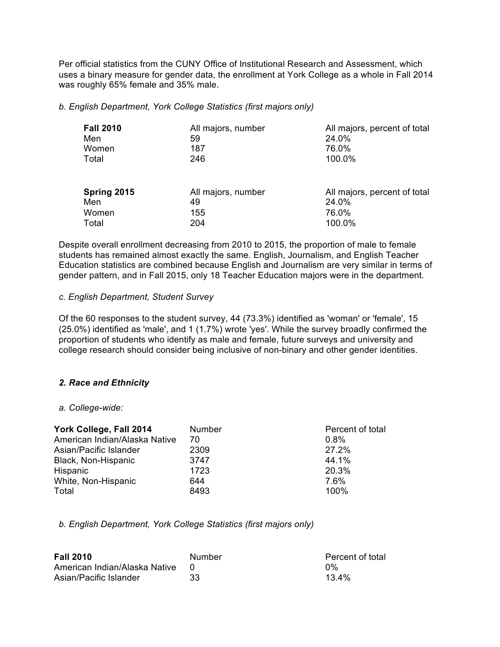uses a binary measure for gender data, the enrollment at York College as a whole in Fall 2014 was roughly 65% female and 35% male. Per official statistics from the CUNY Office of Institutional Research and Assessment, which

 *b. English Department, York College Statistics (first majors only)* 

| <b>Fall 2010</b> | All majors, number | All majors, percent of total |
|------------------|--------------------|------------------------------|
| Men              | 59                 | 24.0%                        |
| Women            | 187                | 76.0%                        |
| Total            | 246                | 100.0%                       |
| Spring 2015      | All majors, number | All majors, percent of total |
| Men              | 49                 | 24.0%                        |
| Women            | 155                | 76.0%                        |
| Total            | 204                | 100.0%                       |

 Despite overall enrollment decreasing from 2010 to 2015, the proportion of male to female students has remained almost exactly the same. English, Journalism, and English Teacher Education statistics are combined because English and Journalism are very similar in terms of gender pattern, and in Fall 2015, only 18 Teacher Education majors were in the department.

#### *c. English Department, Student Survey*

 Of the 60 responses to the student survey, 44 (73.3%) identified as 'woman' or 'female', 15 (25.0%) identified as 'male', and 1 (1.7%) wrote 'yes'. While the survey broadly confirmed the proportion of students who identify as male and female, future surveys and university and college research should consider being inclusive of non-binary and other gender identities.

## *2. Race and Ethnicity*

#### *a. College-wide:*

| York College, Fall 2014       | Number | Percent of total |
|-------------------------------|--------|------------------|
| American Indian/Alaska Native | 70     | $0.8\%$          |
| Asian/Pacific Islander        | 2309   | 27.2%            |
| Black, Non-Hispanic           | 3747   | 44.1%            |
| Hispanic                      | 1723   | 20.3%            |
| White, Non-Hispanic           | 644    | 7.6%             |
| Total                         | 8493   | 100%             |

 *b. English Department, York College Statistics (first majors only)* 

| <b>Fall 2010</b>              | Number | Percent of total |
|-------------------------------|--------|------------------|
| American Indian/Alaska Native |        | በ%               |
| Asian/Pacific Islander        | 33     | 13.4%            |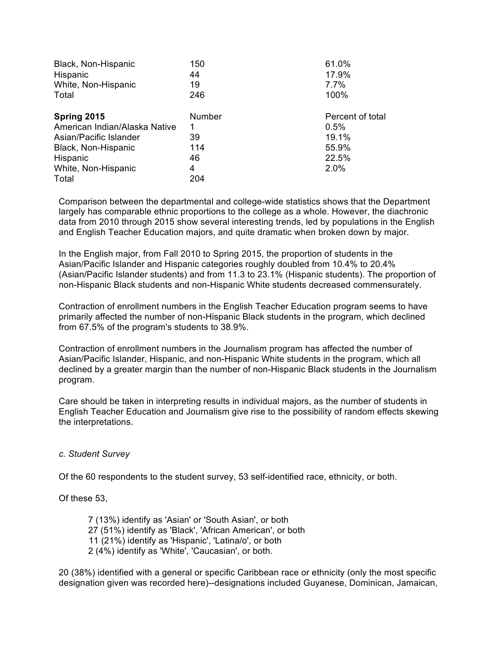| Black, Non-Hispanic<br>Hispanic | 150<br>44     | 61.0%<br>17.9%   |
|---------------------------------|---------------|------------------|
| White, Non-Hispanic             | 19            | $7.7\%$          |
| Total                           | 246           | 100%             |
| Spring 2015                     | <b>Number</b> | Percent of total |
| American Indian/Alaska Native   |               | $0.5\%$          |
| Asian/Pacific Islander          | 39            | 19.1%            |
| Black, Non-Hispanic             | 114           | 55.9%            |
| Hispanic                        | 46            | 22.5%            |
| White, Non-Hispanic             | 4             | 2.0%             |
| Total                           | 204           |                  |

 Comparison between the departmental and college-wide statistics shows that the Department largely has comparable ethnic proportions to the college as a whole. However, the diachronic data from 2010 through 2015 show several interesting trends, led by populations in the English and English Teacher Education majors, and quite dramatic when broken down by major.

 Asian/Pacific Islander and Hispanic categories roughly doubled from 10.4% to 20.4% non-Hispanic Black students and non-Hispanic White students decreased commensurately. In the English major, from Fall 2010 to Spring 2015, the proportion of students in the (Asian/Pacific Islander students) and from 11.3 to 23.1% (Hispanic students). The proportion of

 Contraction of enrollment numbers in the English Teacher Education program seems to have primarily affected the number of non-Hispanic Black students in the program, which declined from 67.5% of the program's students to 38.9%.

 Contraction of enrollment numbers in the Journalism program has affected the number of Asian/Pacific Islander, Hispanic, and non-Hispanic White students in the program, which all declined by a greater margin than the number of non-Hispanic Black students in the Journalism program.

 Care should be taken in interpreting results in individual majors, as the number of students in English Teacher Education and Journalism give rise to the possibility of random effects skewing the interpretations.

#### *c. Student Survey*

Of the 60 respondents to the student survey, 53 self-identified race, ethnicity, or both.

Of these 53,

 7 (13%) identify as 'Asian' or 'South Asian', or both 27 (51%) identify as 'Black', 'African American', or both 2 (4%) identify as 'White', 'Caucasian', or both. 11 (21%) identify as 'Hispanic', 'Latina/o', or both

 20 (38%) identified with a general or specific Caribbean race or ethnicity (only the most specific designation given was recorded here)--designations included Guyanese, Dominican, Jamaican,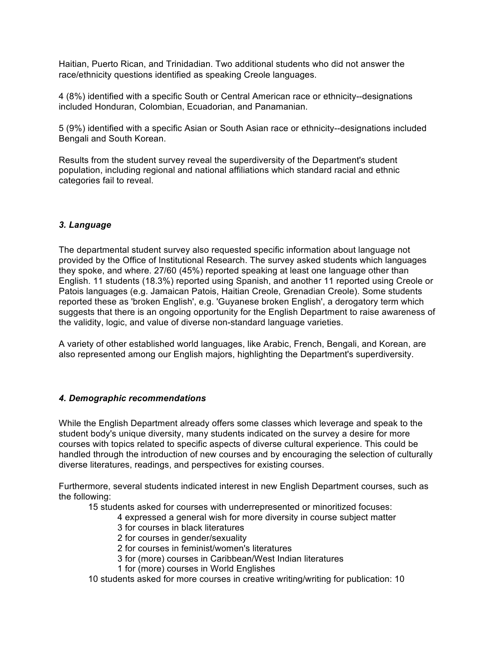Haitian, Puerto Rican, and Trinidadian. Two additional students who did not answer the race/ethnicity questions identified as speaking Creole languages.

 4 (8%) identified with a specific South or Central American race or ethnicity--designations included Honduran, Colombian, Ecuadorian, and Panamanian.

 5 (9%) identified with a specific Asian or South Asian race or ethnicity--designations included Bengali and South Korean.

 Results from the student survey reveal the superdiversity of the Department's student population, including regional and national affiliations which standard racial and ethnic categories fail to reveal.

## *3. Language*

 The departmental student survey also requested specific information about language not provided by the Office of Institutional Research. The survey asked students which languages English. 11 students (18.3%) reported using Spanish, and another 11 reported using Creole or Patois languages (e.g. Jamaican Patois, Haitian Creole, Grenadian Creole). Some students reported these as 'broken English', e.g. 'Guyanese broken English', a derogatory term which suggests that there is an ongoing opportunity for the English Department to raise awareness of the validity, logic, and value of diverse non-standard language varieties. they spoke, and where. 27/60 (45%) reported speaking at least one language other than

 A variety of other established world languages, like Arabic, French, Bengali, and Korean, are also represented among our English majors, highlighting the Department's superdiversity.

## *4. Demographic recommendations*

 While the English Department already offers some classes which leverage and speak to the student body's unique diversity, many students indicated on the survey a desire for more courses with topics related to specific aspects of diverse cultural experience. This could be diverse literatures, readings, and perspectives for existing courses. handled through the introduction of new courses and by encouraging the selection of culturally

 Furthermore, several students indicated interest in new English Department courses, such as the following:

15 students asked for courses with underrepresented or minoritized focuses:

- 4 expressed a general wish for more diversity in course subject matter
- 3 for courses in black literatures
- 2 for courses in gender/sexuality
- 2 for courses in feminist/women's literatures
- 3 for (more) courses in Caribbean/West Indian literatures
- 1 for (more) courses in World Englishes

10 students asked for more courses in creative writing/writing for publication: 10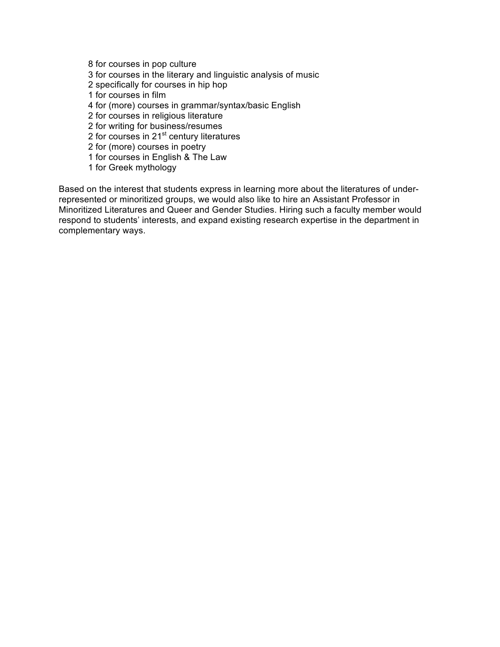8 for courses in pop culture 2 specifically for courses in hip hop 4 for (more) courses in grammar/syntax/basic English 2 for courses in religious literature 2 for courses in 21<sup>st</sup> century literatures 2 for (more) courses in poetry 1 for courses in English & The Law 3 for courses in the literary and linguistic analysis of music 1 for courses in film 2 for writing for business/resumes

1 for Greek mythology

 Based on the interest that students express in learning more about the literatures of under- Minoritized Literatures and Queer and Gender Studies. Hiring such a faculty member would respond to students' interests, and expand existing research expertise in the department in complementary ways. represented or minoritized groups, we would also like to hire an Assistant Professor in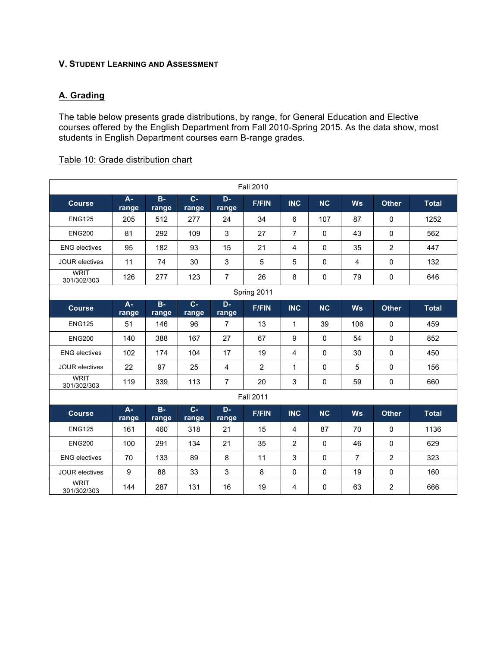#### **V. STUDENT LEARNING AND ASSESSMENT**

## **A. Grading**

 The table below presents grade distributions, by range, for General Education and Elective courses offered by the English Department from Fall 2010-Spring 2015. As the data show, most students in English Department courses earn B-range grades.

#### Table 10: Grade distribution chart

| <b>Fall 2010</b>           |                       |                       |                         |                |                  |                |              |                |                |              |
|----------------------------|-----------------------|-----------------------|-------------------------|----------------|------------------|----------------|--------------|----------------|----------------|--------------|
| <b>Course</b>              | $\mathbf{A}$<br>range | B<br>range            | $\overline{c}$<br>range | D<br>range     | <b>F/FIN</b>     | <b>INC</b>     | <b>NC</b>    | <b>Ws</b>      | <b>Other</b>   | <b>Total</b> |
| <b>ENG125</b>              | 205                   | 512                   | 277                     | 24             | 34               | 6              | 107          | 87             | $\mathbf 0$    | 1252         |
| <b>ENG200</b>              | 81                    | 292                   | 109                     | 3              | 27               | $\overline{7}$ | $\mathbf 0$  | 43             | 0              | 562          |
| <b>ENG</b> electives       | 95                    | 182                   | 93                      | 15             | 21               | 4              | $\mathbf 0$  | 35             | $\overline{2}$ | 447          |
| <b>JOUR electives</b>      | 11                    | 74                    | 30                      | 3              | 5                | 5              | $\mathbf{0}$ | 4              | $\Omega$       | 132          |
| <b>WRIT</b><br>301/302/303 | 126                   | 277                   | 123                     | $\overline{7}$ | 26               | 8              | 0            | 79             | $\mathbf 0$    | 646          |
|                            |                       |                       |                         |                | Spring 2011      |                |              |                |                |              |
| <b>Course</b>              | $\mathbf{A}$<br>range | $\mathbf{B}$<br>range | $\overline{c}$<br>range | D<br>range     | <b>F/FIN</b>     | <b>INC</b>     | <b>NC</b>    | <b>Ws</b>      | <b>Other</b>   | <b>Total</b> |
| <b>ENG125</b>              | 51                    | 146                   | 96                      | $\overline{7}$ | 13               | 1              | 39           | 106            | $\Omega$       | 459          |
| <b>ENG200</b>              | 140                   | 388                   | 167                     | 27             | 67               | 9              | $\mathbf{0}$ | 54             | $\Omega$       | 852          |
| <b>ENG</b> electives       | 102                   | 174                   | 104                     | 17             | 19               | 4              | 0            | 30             | $\pmb{0}$      | 450          |
| <b>JOUR electives</b>      | 22                    | 97                    | 25                      | $\overline{4}$ | $\overline{2}$   | 1              | $\mathbf 0$  | 5              | $\mathbf{0}$   | 156          |
| <b>WRIT</b><br>301/302/303 | 119                   | 339                   | 113                     | $\overline{7}$ | 20               | 3              | 0            | 59             | $\mathbf 0$    | 660          |
|                            |                       |                       |                         |                | <b>Fall 2011</b> |                |              |                |                |              |
| <b>Course</b>              | $\mathbf{A}$<br>range | $\mathbf{B}$<br>range | $\mathbf c$<br>range    | D<br>range     | <b>F/FIN</b>     | <b>INC</b>     | <b>NC</b>    | <b>Ws</b>      | <b>Other</b>   | <b>Total</b> |
| <b>ENG125</b>              | 161                   | 460                   | 318                     | 21             | 15               | 4              | 87           | 70             | $\mathbf 0$    | 1136         |
| <b>ENG200</b>              | 100                   | 291                   | 134                     | 21             | 35               | $\overline{2}$ | $\mathbf 0$  | 46             | 0              | 629          |
| <b>ENG</b> electives       | 70                    | 133                   | 89                      | 8              | 11               | 3              | 0            | $\overline{7}$ | $\overline{2}$ | 323          |
| <b>JOUR electives</b>      | 9                     | 88                    | 33                      | 3              | 8                | 0              | $\mathbf 0$  | 19             | 0              | 160          |
| <b>WRIT</b><br>301/302/303 | 144                   | 287                   | 131                     | 16             | 19               | 4              | $\mathbf 0$  | 63             | $\overline{2}$ | 666          |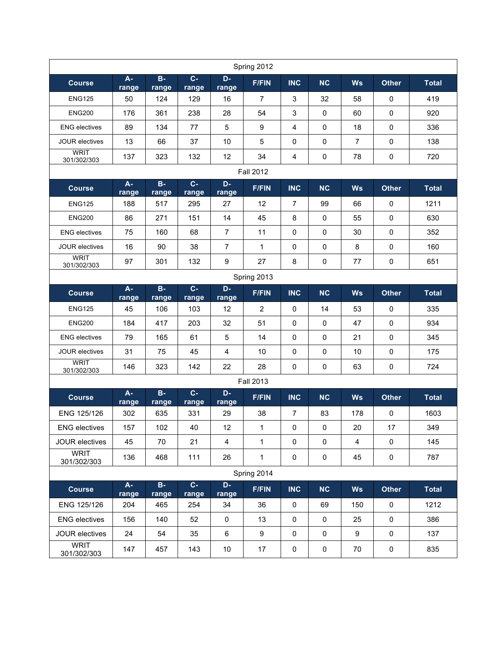|                            |            |                         |                         |                         | Spring 2012      |                |             |                |              |              |
|----------------------------|------------|-------------------------|-------------------------|-------------------------|------------------|----------------|-------------|----------------|--------------|--------------|
| <b>Course</b>              | A<br>range | $\, {\bf B}$<br>range   | $\mathbf c$<br>range    | D<br>range              | <b>F/FIN</b>     | <b>INC</b>     | <b>NC</b>   | <b>Ws</b>      | <b>Other</b> | <b>Total</b> |
| <b>ENG125</b>              | 50         | 124                     | 129                     | 16                      | $\overline{7}$   | 3              | 32          | 58             | $\mathbf 0$  | 419          |
| <b>ENG200</b>              | 176        | 361                     | 238                     | 28                      | 54               | 3              | $\mathbf 0$ | 60             | 0            | 920          |
| <b>ENG</b> electives       | 89         | 134                     | 77                      | 5                       | 9                | $\overline{4}$ | $\mathbf 0$ | 18             | $\mathbf 0$  | 336          |
| <b>JOUR electives</b>      | 13         | 66                      | 37                      | 10                      | 5                | $\mathbf 0$    | 0           | $\overline{7}$ | $\mathbf 0$  | 138          |
| <b>WRIT</b><br>301/302/303 | 137        | 323                     | 132                     | 12                      | 34               | 4              | 0           | 78             | $\mathbf 0$  | 720          |
|                            |            |                         |                         |                         | <b>Fall 2012</b> |                |             |                |              |              |
| <b>Course</b>              | A<br>range | $\, {\bf B}$<br>range   | $\mathbf C$<br>range    | D<br>range              | <b>F/FIN</b>     | <b>INC</b>     | <b>NC</b>   | <b>Ws</b>      | <b>Other</b> | <b>Total</b> |
| <b>ENG125</b>              | 188        | 517                     | 295                     | 27                      | 12               | $\overline{7}$ | 99          | 66             | 0            | 1211         |
| <b>ENG200</b>              | 86         | 271                     | 151                     | 14                      | 45               | 8              | 0           | 55             | $\pmb{0}$    | 630          |
| <b>ENG</b> electives       | 75         | 160                     | 68                      | $\overline{7}$          | 11               | 0              | 0           | 30             | 0            | 352          |
| <b>JOUR electives</b>      | 16         | 90                      | 38                      | 7                       | 1                | 0              | 0           | 8              | 0            | 160          |
| <b>WRIT</b><br>301/302/303 | 97         | 301                     | 132                     | 9                       | 27               | 8              | 0           | 77             | 0            | 651          |
|                            |            |                         |                         |                         | Spring 2013      |                |             |                |              |              |
| <b>Course</b>              | A<br>range | B<br>range              | $\mathbf{C}$<br>range   | D<br>range              | <b>F/FIN</b>     | <b>INC</b>     | <b>NC</b>   | <b>Ws</b>      | <b>Other</b> | <b>Total</b> |
| <b>ENG125</b>              | 45         | 106                     | 103                     | 12                      | $\overline{2}$   | $\mathbf 0$    | 14          | 53             | $\mathbf 0$  | 335          |
| <b>ENG200</b>              | 184        | 417                     | 203                     | 32                      | 51               | $\mathbf 0$    | $\mathbf 0$ | 47             | $\mathbf 0$  | 934          |
| <b>ENG</b> electives       | 79         | 165                     | 61                      | 5                       | 14               | $\pmb{0}$      | 0           | 21             | $\mathbf 0$  | 345          |
| <b>JOUR electives</b>      | 31         | 75                      | 45                      | 4                       | 10               | $\mathbf 0$    | 0           | 10             | $\mathbf 0$  | 175          |
| <b>WRIT</b><br>301/302/303 | 146        | 323                     | 142                     | 22                      | 28               | $\mathbf 0$    | 0           | 63             | 0            | 724          |
|                            |            |                         |                         |                         | <b>Fall 2013</b> |                |             |                |              |              |
| <b>Course</b>              | A<br>range | B<br>range              | $\mathbf c$<br>range    | D<br>range              | <b>F/FIN</b>     | <b>INC</b>     | <b>NC</b>   | <b>Ws</b>      | <b>Other</b> | <b>Total</b> |
| ENG 125/126                | 302        | 635                     | 331                     | 29                      | 38               | 7              | 83          | 178            | $\mathbf 0$  | 1603         |
| <b>ENG</b> electives       | 157        | 102                     | 40                      | 12                      | 1                | $\pmb{0}$      | $\mathbf 0$ | 20             | 17           | 349          |
| <b>JOUR electives</b>      | 45         | 70                      | 21                      | $\overline{\mathbf{4}}$ | $\mathbf{1}$     | $\mathsf 0$    | $\pmb{0}$   | $\overline{4}$ | $\pmb{0}$    | 145          |
| <b>WRIT</b><br>301/302/303 | 136        | 468                     | 111                     | 26                      | 1                | 0              | $\pmb{0}$   | 45             | $\pmb{0}$    | 787          |
| Spring 2014                |            |                         |                         |                         |                  |                |             |                |              |              |
| <b>Course</b>              | A<br>range | $\overline{B}$<br>range | $\overline{c}$<br>range | D<br>range              | <b>F/FIN</b>     | <b>INC</b>     | NC          | <b>Ws</b>      | <b>Other</b> | <b>Total</b> |
| ENG 125/126                | 204        | 465                     | 254                     | 34                      | 36               | $\pmb{0}$      | 69          | 150            | $\pmb{0}$    | 1212         |
| <b>ENG</b> electives       | 156        | 140                     | 52                      | $\mathbf 0$             | 13               | $\pmb{0}$      | $\mathbf 0$ | 25             | $\pmb{0}$    | 386          |
| JOUR electives             | 24         | 54                      | 35                      | $\,6\,$                 | 9                | $\pmb{0}$      | $\mathbf 0$ | 9              | $\pmb{0}$    | 137          |
| <b>WRIT</b><br>301/302/303 | 147        | 457                     | 143                     | 10                      | 17               | $\pmb{0}$      | $\pmb{0}$   | 70             | 0            | 835          |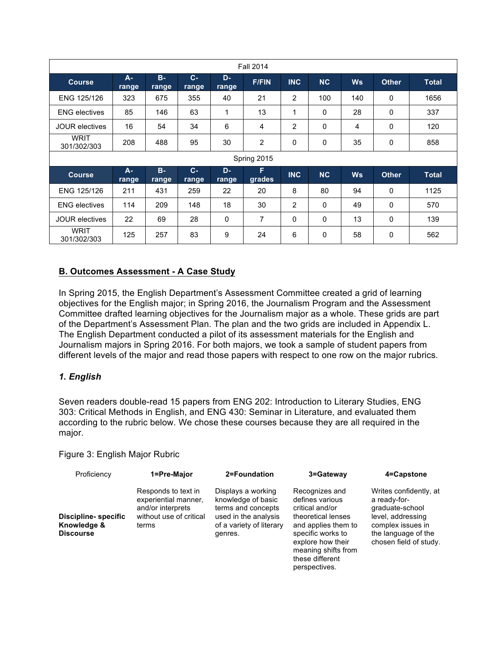| <b>Fall 2014</b>           |                                  |             |                       |              |                |              |              |           |              |              |
|----------------------------|----------------------------------|-------------|-----------------------|--------------|----------------|--------------|--------------|-----------|--------------|--------------|
| <b>Course</b>              | $\overline{\mathsf{A}}$<br>range | B.<br>range | $\mathbf{C}$<br>range | D<br>range   | <b>F/FIN</b>   | <b>INC</b>   | <b>NC</b>    | <b>Ws</b> | <b>Other</b> | Total        |
| ENG 125/126                | 323                              | 675         | 355                   | 40           | 21             | 2            | 100          | 140       | 0            | 1656         |
| <b>ENG</b> electives       | 85                               | 146         | 63                    | 1            | 13             | 1            | 0            | 28        | 0            | 337          |
| <b>JOUR electives</b>      | 16                               | 54          | 34                    | 6            | 4              | 2            | 0            | 4         | 0            | 120          |
| WRIT<br>301/302/303        | 208                              | 488         | 95                    | 30           | $\overline{2}$ | $\mathbf{0}$ | 0            | 35        | 0            | 858          |
|                            |                                  |             |                       |              | Spring 2015    |              |              |           |              |              |
| <b>Course</b>              | $\overline{\mathsf{A}}$<br>range | B<br>range  | $\mathbf{C}$<br>range | D<br>range   | F<br>grades    | <b>INC</b>   | <b>NC</b>    | <b>Ws</b> | <b>Other</b> | <b>Total</b> |
| ENG 125/126                | 211                              | 431         | 259                   | 22           | 20             | 8            | 80           | 94        | 0            | 1125         |
| <b>ENG electives</b>       | 114                              | 209         | 148                   | 18           | 30             | 2            | 0            | 49        | 0            | 570          |
| <b>JOUR electives</b>      | 22                               | 69          | 28                    | $\mathbf{0}$ | $\overline{7}$ | $\Omega$     | $\mathbf{0}$ | 13        | 0            | 139          |
| <b>WRIT</b><br>301/302/303 | 125                              | 257         | 83                    | 9            | 24             | 6            | 0            | 58        | 0            | 562          |

# **B. Outcomes Assessment - A Case Study**

 objectives for the English major; in Spring 2016, the Journalism Program and the Assessment Committee drafted learning objectives for the Journalism major as a whole. These grids are part of the Department's Assessment Plan. The plan and the two grids are included in Appendix L. The English Department conducted a pilot of its assessment materials for the English and Journalism majors in Spring 2016. For both majors, we took a sample of student papers from different levels of the major and read those papers with respect to one row on the major rubrics. In Spring 2015, the English Department's Assessment Committee created a grid of learning

## *1. English*

 Seven readers double-read 15 papers from ENG 202: Introduction to Literary Studies, ENG 303: Critical Methods in English, and ENG 430: Seminar in Literature, and evaluated them according to the rubric below. We chose these courses because they are all required in the major.

#### Figure 3: English Major Rubric

| Proficiency                                      | 1=Pre-Major                                                                                          | 2=Foundation                                                                                                                  | 3=Gateway                                                                                                                                                                                              | 4=Capstone                                                                                                                                           |
|--------------------------------------------------|------------------------------------------------------------------------------------------------------|-------------------------------------------------------------------------------------------------------------------------------|--------------------------------------------------------------------------------------------------------------------------------------------------------------------------------------------------------|------------------------------------------------------------------------------------------------------------------------------------------------------|
| Discipline- specific<br>Knowledge &<br>Discourse | Responds to text in<br>experiential manner,<br>and/or interprets<br>without use of critical<br>terms | Displays a working<br>knowledge of basic<br>terms and concepts<br>used in the analysis<br>of a variety of literary<br>genres. | Recognizes and<br>defines various<br>critical and/or<br>theoretical lenses<br>and applies them to<br>specific works to<br>explore how their<br>meaning shifts from<br>these different<br>perspectives. | Writes confidently, at<br>a ready-for-<br>graduate-school<br>level, addressing<br>complex issues in<br>the language of the<br>chosen field of study. |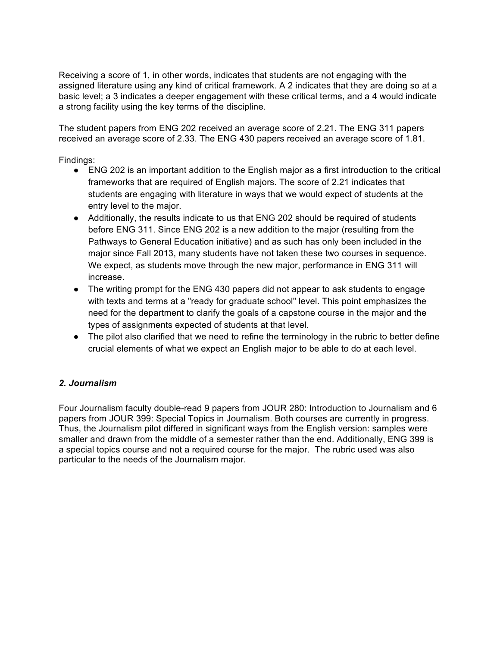Receiving a score of 1, in other words, indicates that students are not engaging with the assigned literature using any kind of critical framework. A 2 indicates that they are doing so at a basic level; a 3 indicates a deeper engagement with these critical terms, and a 4 would indicate a strong facility using the key terms of the discipline.

 The student papers from ENG 202 received an average score of 2.21. The ENG 311 papers received an average score of 2.33. The ENG 430 papers received an average score of 1.81.

Findings:

- ● ENG 202 is an important addition to the English major as a first introduction to the critical students are engaging with literature in ways that we would expect of students at the entry level to the major. frameworks that are required of English majors. The score of 2.21 indicates that
- Additionally, the results indicate to us that ENG 202 should be required of students before ENG 311. Since ENG 202 is a new addition to the major (resulting from the Pathways to General Education initiative) and as such has only been included in the major since Fall 2013, many students have not taken these two courses in sequence. We expect, as students move through the new major, performance in ENG 311 will increase.
- ● The writing prompt for the ENG 430 papers did not appear to ask students to engage with texts and terms at a "ready for graduate school" level. This point emphasizes the need for the department to clarify the goals of a capstone course in the major and the types of assignments expected of students at that level.
- The pilot also clarified that we need to refine the terminology in the rubric to better define crucial elements of what we expect an English major to be able to do at each level.

# *2. Journalism*

 Four Journalism faculty double-read 9 papers from JOUR 280: Introduction to Journalism and 6 papers from JOUR 399: Special Topics in Journalism. Both courses are currently in progress. Thus, the Journalism pilot differed in significant ways from the English version: samples were smaller and drawn from the middle of a semester rather than the end. Additionally, ENG 399 is a special topics course and not a required course for the major. The rubric used was also particular to the needs of the Journalism major.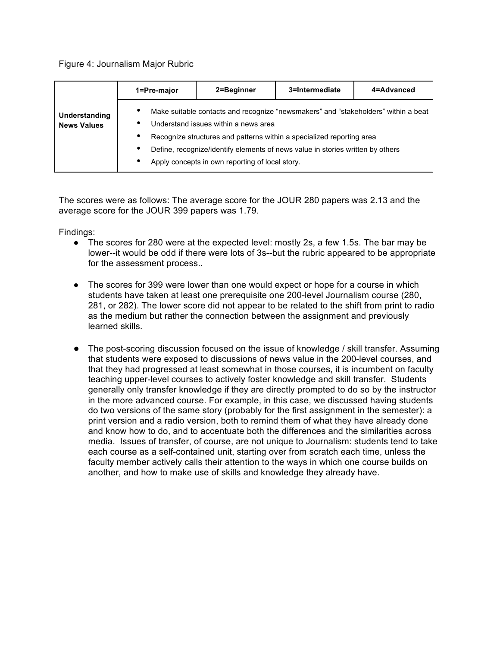#### Figure 4: Journalism Major Rubric

| Understanding<br><b>News Values</b> | 1=Pre-major                                                                                                                                                                                                                                                                                                                                                       | 2=Beginner | 3=Intermediate | 4=Advanced |
|-------------------------------------|-------------------------------------------------------------------------------------------------------------------------------------------------------------------------------------------------------------------------------------------------------------------------------------------------------------------------------------------------------------------|------------|----------------|------------|
|                                     | ٠<br>Make suitable contacts and recognize "newsmakers" and "stakeholders" within a beat<br>Understand issues within a news area<br>٠<br>٠<br>Recognize structures and patterns within a specialized reporting area<br>Define, recognize/identify elements of news value in stories written by others<br>٠<br>Apply concepts in own reporting of local story.<br>٠ |            |                |            |

 The scores were as follows: The average score for the JOUR 280 papers was 2.13 and the average score for the JOUR 399 papers was 1.79.

Findings:

- The scores for 280 were at the expected level: mostly 2s, a few 1.5s. The bar may be lower--it would be odd if there were lots of 3s--but the rubric appeared to be appropriate for the assessment process..
- The scores for 399 were lower than one would expect or hope for a course in which students have taken at least one prerequisite one 200-level Journalism course (280, 281, or 282). The lower score did not appear to be related to the shift from print to radio as the medium but rather the connection between the assignment and previously learned skills.
- ● The post-scoring discussion focused on the issue of knowledge / skill transfer. Assuming that students were exposed to discussions of news value in the 200-level courses, and teaching upper-level courses to actively foster knowledge and skill transfer. Students generally only transfer knowledge if they are directly prompted to do so by the instructor in the more advanced course. For example, in this case, we discussed having students do two versions of the same story (probably for the first assignment in the semester): a print version and a radio version, both to remind them of what they have already done and know how to do, and to accentuate both the differences and the similarities across media. Issues of transfer, of course, are not unique to Journalism: students tend to take each course as a self-contained unit, starting over from scratch each time, unless the another, and how to make use of skills and knowledge they already have. that they had progressed at least somewhat in those courses, it is incumbent on faculty faculty member actively calls their attention to the ways in which one course builds on